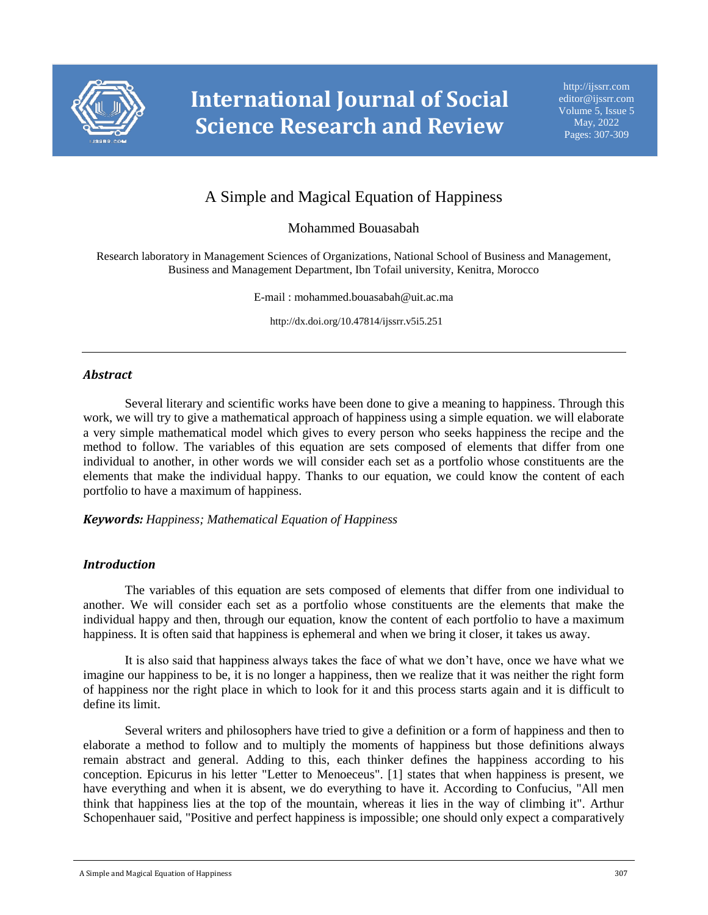

# A Simple and Magical Equation of Happiness

# Mohammed Bouasabah

Research laboratory in Management Sciences of Organizations, National School of Business and Management, Business and Management Department, Ibn Tofail university, Kenitra, Morocco

E-mail : mohammed.bouasabah@uit.ac.ma

http://dx.doi.org/10.47814/ijssrr.v5i5.251

### *Abstract*

Several literary and scientific works have been done to give a meaning to happiness. Through this work, we will try to give a mathematical approach of happiness using a simple equation. we will elaborate a very simple mathematical model which gives to every person who seeks happiness the recipe and the method to follow. The variables of this equation are sets composed of elements that differ from one individual to another, in other words we will consider each set as a portfolio whose constituents are the elements that make the individual happy. Thanks to our equation, we could know the content of each portfolio to have a maximum of happiness.

#### *Keywords: Happiness; Mathematical Equation of Happiness*

## *Introduction*

The variables of this equation are sets composed of elements that differ from one individual to another. We will consider each set as a portfolio whose constituents are the elements that make the individual happy and then, through our equation, know the content of each portfolio to have a maximum happiness. It is often said that happiness is ephemeral and when we bring it closer, it takes us away.

It is also said that happiness always takes the face of what we don't have, once we have what we imagine our happiness to be, it is no longer a happiness, then we realize that it was neither the right form of happiness nor the right place in which to look for it and this process starts again and it is difficult to define its limit.

Several writers and philosophers have tried to give a definition or a form of happiness and then to elaborate a method to follow and to multiply the moments of happiness but those definitions always remain abstract and general. Adding to this, each thinker defines the happiness according to his conception. Epicurus in his letter "Letter to Menoeceus". [1] states that when happiness is present, we have everything and when it is absent, we do everything to have it. According to Confucius, "All men think that happiness lies at the top of the mountain, whereas it lies in the way of climbing it". Arthur Schopenhauer said, "Positive and perfect happiness is impossible; one should only expect a comparatively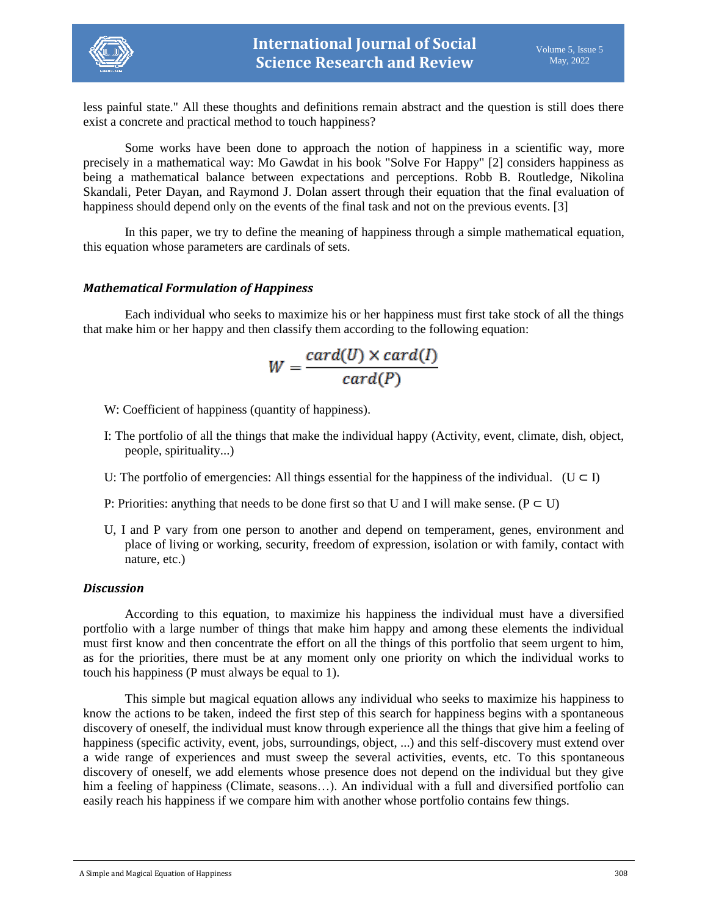

less painful state." All these thoughts and definitions remain abstract and the question is still does there exist a concrete and practical method to touch happiness?

Some works have been done to approach the notion of happiness in a scientific way, more precisely in a mathematical way: Mo Gawdat in his book "Solve For Happy" [2] considers happiness as being a mathematical balance between expectations and perceptions. Robb B. Routledge, Nikolina Skandali, Peter Dayan, and Raymond J. Dolan assert through their equation that the final evaluation of happiness should depend only on the events of the final task and not on the previous events. [3]

In this paper, we try to define the meaning of happiness through a simple mathematical equation, this equation whose parameters are cardinals of sets.

## *Mathematical Formulation of Happiness*

Each individual who seeks to maximize his or her happiness must first take stock of all the things that make him or her happy and then classify them according to the following equation:

$$
W = \frac{card(U) \times card(I)}{card(P)}
$$

W: Coefficient of happiness (quantity of happiness).

- I: The portfolio of all the things that make the individual happy (Activity, event, climate, dish, object, people, spirituality...)
- U: The portfolio of emergencies: All things essential for the happiness of the individual. ( $U \subset I$ )
- P: Priorities: anything that needs to be done first so that U and I will make sense. ( $P \subset U$ )
- U, I and P vary from one person to another and depend on temperament, genes, environment and place of living or working, security, freedom of expression, isolation or with family, contact with nature, etc.)

## *Discussion*

According to this equation, to maximize his happiness the individual must have a diversified portfolio with a large number of things that make him happy and among these elements the individual must first know and then concentrate the effort on all the things of this portfolio that seem urgent to him, as for the priorities, there must be at any moment only one priority on which the individual works to touch his happiness (P must always be equal to 1).

This simple but magical equation allows any individual who seeks to maximize his happiness to know the actions to be taken, indeed the first step of this search for happiness begins with a spontaneous discovery of oneself, the individual must know through experience all the things that give him a feeling of happiness (specific activity, event, jobs, surroundings, object, ...) and this self-discovery must extend over a wide range of experiences and must sweep the several activities, events, etc. To this spontaneous discovery of oneself, we add elements whose presence does not depend on the individual but they give him a feeling of happiness (Climate, seasons...). An individual with a full and diversified portfolio can easily reach his happiness if we compare him with another whose portfolio contains few things.